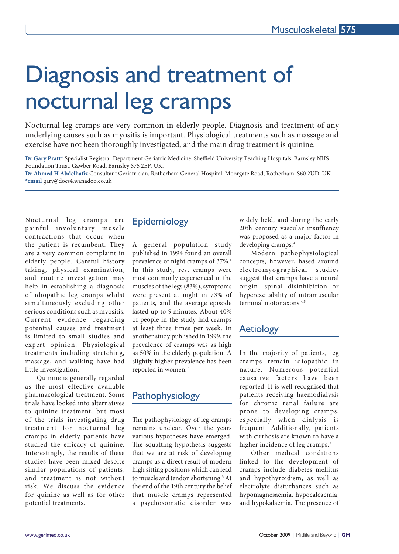# Diagnosis and treatment of nocturnal leg cramps

Nocturnal leg cramps are very common in elderly people. Diagnosis and treatment of any underlying causes such as myositis is important. Physiological treatments such as massage and exercise have not been thoroughly investigated, and the main drug treatment is quinine.

**Dr Gary Pratt\*** Specialist Registrar Department Geriatric Medicine, Sheffield University Teaching Hospitals, Barnsley NHS Foundation Trust, Gawber Road, Barnsley S75 2EP, UK.

**Dr Ahmed H Abdelhafiz** Consultant Geriatrician, Rotherham General Hospital, Moorgate Road, Rotherham, S60 2UD, UK. **\*email** gary@docs4.wanadoo.co.uk

Nocturnal leg cramps are painful involuntary muscle contractions that occur when the patient is recumbent. They are a very common complaint in elderly people. Careful history taking, physical examination, and routine investigation may help in establishing a diagnosis of idiopathic leg cramps whilst simultaneously excluding other serious conditions such as myositis. Current evidence regarding potential causes and treatment is limited to small studies and expert opinion. Physiological treatments including stretching, massage, and walking have had little investigation.

Quinine is generally regarded as the most effective available pharmacological treatment. Some trials have looked into alternatives to quinine treatment, but most of the trials investigating drug treatment for nocturnal leg cramps in elderly patients have studied the efficacy of quinine. Interestingly, the results of these studies have been mixed despite similar populations of patients, and treatment is not without risk. We discuss the evidence for quinine as well as for other potential treatments.

# Epidemiology

A general population study published in 1994 found an overall prevalence of night cramps of 37%.<sup>1</sup> In this study, rest cramps were most commonly experienced in the muscles of the legs (83%), symptoms were present at night in 73% of patients, and the average episode lasted up to 9 minutes. About 40% of people in the study had cramps at least three times per week. In another study published in 1999, the prevalence of cramps was as high as 50% in the elderly population. A slightly higher prevalence has been reported in women.<sup>2</sup>

# Pathophysiology

The pathophysiology of leg cramps remains unclear. Over the years various hypotheses have emerged. The squatting hypothesis suggests that we are at risk of developing cramps as a direct result of modern high sitting positions which can lead to muscle and tendon shortening.<sup>3</sup> At the end of the 19th century the belief that muscle cramps represented a psychosomatic disorder was

widely held, and during the early 20th century vascular insuffiency was proposed as a major factor in developing cramps.4

Modern pathophysiological concepts, however, based around electromyographical studies suggest that cramps have a neural origin—spinal disinhibition or hyperexcitability of intramuscular terminal motor axons.4,5

# Aetiology

In the majority of patients, leg cramps remain idiopathic in nature. Numerous potential causative factors have been reported. It is well recognised that patients receiving haemodialysis for chronic renal failure are prone to developing cramps, especially when dialysis is frequent. Additionally, patients with cirrhosis are known to have a higher incidence of leg cramps.<sup>2</sup>

Other medical conditions linked to the development of cramps include diabetes mellitus and hypothyroidism, as well as electrolyte disturbances such as hypomagnesaemia, hypocalcaemia, and hypokalaemia. The presence of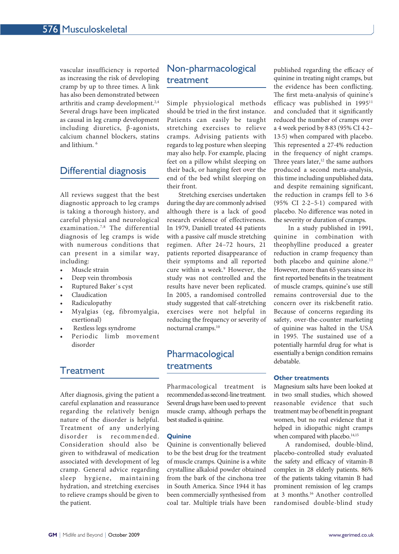vascular insufficiency is reported as increasing the risk of developing cramp by up to three times. A link has also been demonstrated between arthritis and cramp development.<sup>2,4</sup> Several drugs have been implicated as causal in leg cramp development including diuretics, β-agonists, calcium channel blockers, statins and lithium. 6

# Differential diagnosis

All reviews suggest that the best diagnostic approach to leg cramps is taking a thorough history, and careful physical and neurological examination.7,8 The differential diagnosis of leg cramps is wide with numerous conditions that can present in a similar way, including:

- Muscle strain
- Deep vein thrombosis
- Ruptured Baker`s cyst
- Claudication
- Radiculopathy
- Myalgias (eg, fibromyalgia, exertional)
- Restless legs syndrome
- Periodic limb movement disorder

# **Treatment**

After diagnosis, giving the patient a careful explanation and reassurance regarding the relatively benign nature of the disorder is helpful. Treatment of any underlying disorder is recommended. Consideration should also be given to withdrawal of medication associated with development of leg cramp. General advice regarding sleep hygiene, maintaining hydration, and stretching exercises to relieve cramps should be given to the patient.

# Non-pharmacological treatment

Simple physiological methods should be tried in the first instance. Patients can easily be taught stretching exercises to relieve cramps. Advising patients with regards to leg posture when sleeping may also help. For example, placing feet on a pillow whilst sleeping on their back, or hanging feet over the end of the bed whilst sleeping on their front.

Stretching exercises undertaken during the day are commonly advised although there is a lack of good research evidence of effectiveness. In 1979, Daniell treated 44 patients with a passive calf muscle stretching regimen. After 24–72 hours, 21 patients reported disappearance of their symptoms and all reported cure within a week.<sup>9</sup> However, the study was not controlled and the results have never been replicated. In 2005, a randomised controlled study suggested that calf-stretching exercises were not helpful in reducing the frequency or severity of nocturnal cramps.10

# Pharmacological treatments

Pharmacological treatment is recommended as second-line treatment. Several drugs have been used to prevent muscle cramp, although perhaps the best studied is quinine.

#### **Quinine**

Quinine is conventionally believed to be the best drug for the treatment of muscle cramps. Quinine is a white crystalline alkaloid powder obtained from the bark of the cinchona tree in South America. Since 1944 it has been commercially synthesised from coal tar. Multiple trials have been

published regarding the efficacy of quinine in treating night cramps, but the evidence has been conflicting. The first meta-analysis of quinine's efficacy was published in 1995<sup>11</sup> and concluded that it significantly reduced the number of cramps over a 4 week period by 8·83 (95% CI 4·2– 13·5) when compared with placebo. This represented a 27·4% reduction in the frequency of night cramps. Three years later, $12$  the same authors produced a second meta-analysis, this time including unpublished data, and despite remaining significant, the reduction in cramps fell to 3·6 (95% CI 2·2–5·1) compared with placebo. No difference was noted in the severity or duration of cramps.

 In a study published in 1991, quinine in combination with theophylline produced a greater reduction in cramp frequency than both placebo and quinine alone.<sup>13</sup> However, more than 65 years since its first reported benefits in the treatment of muscle cramps, quinine's use still remains controversial due to the concern over its risk:benefit ratio. Because of concerns regarding its safety, over-the-counter marketing of quinine was halted in the USA in 1995. The sustained use of a potentially harmful drug for what is essentially a benign condition remains debatable.

#### **Other treatments**

Magnesium salts have been looked at in two small studies, which showed reasonable evidence that such treatment may be of benefit in pregnant women, but no real evidence that it helped in idiopathic night cramps when compared with placebo.<sup>14,15</sup>

A randomised, double-blind, placebo-controlled study evaluated the safety and efficacy of vitamin-B complex in 28 elderly patients. 86% of the patients taking vitamin B had prominent remission of leg cramps at 3 months.16 Another controlled randomised double-blind study